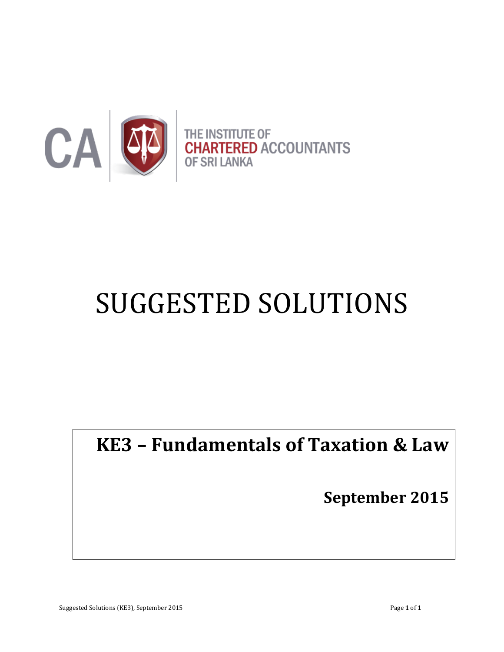

# SUGGESTED SOLUTIONS

# **KE3 – Fundamentals of Taxation & Law**

**September 2015**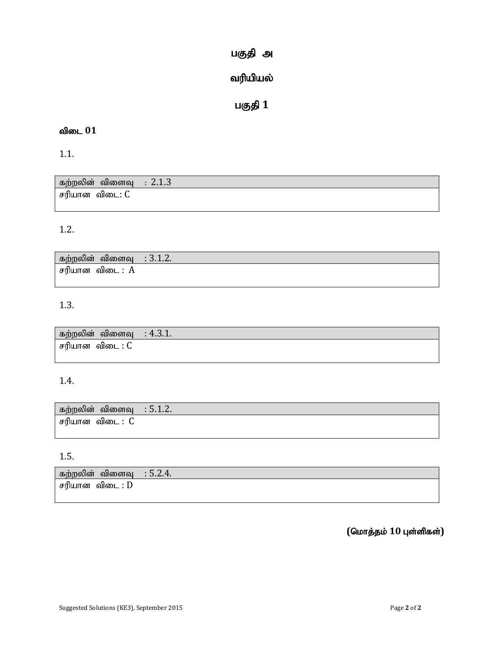# பகுதி அ

# வரியியல்

# பகுதி 1

# விடை 01

1.1.

| கற்றலின் விளைவு : $2.1.3$ |  |
|---------------------------|--|
| சரியான விடை: C            |  |

# 1.2.

| கற்றலின் விளைவு | $\therefore$ 3.1.2. |
|-----------------|---------------------|
| சரியான விடை : A |                     |

# 1.3.

| ் கற்றலின் விளைவு   : 4.3.1. |  |
|------------------------------|--|
| சரியான விடை : C              |  |

# 1.4.

| கற்றலின் விளைவு : 5.1.2. |  |
|--------------------------|--|
| சரியான விடை : C          |  |

### 1.5.

| கற்றலின்              | $\sim$ $\sim$  |
|-----------------------|----------------|
| விளைவ                 | $\cdot$ 5.2.4. |
| சரியான<br>விடை<br>: D |                |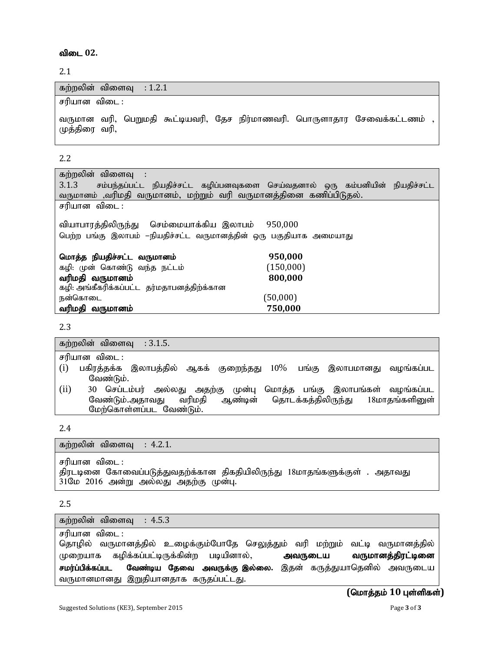விடை 02.

2.1

கற்றலின் விளைவு  $: 1.2.1$ சரியான விடை : வருமான வரி, பெறுமதி கூட்டியவரி, தேச நிர்மாணவரி, பொருளாதார சேவைக்கட்டணம் , முத்திரை வரி, 

2.2

கற்றலின் விளைவு : 3.1.3 சம்பந்தப்பட்ட நியதிச்சட்ட கழிப்பனவுகளை செய்வதனால் ஒரு கம்பனியின் நியதிச்சட்ட வருமானம் ,வரிமதி வருமானம், மற்றும் வரி வருமானத்தினை கணிப்பிடுதல். சரியான விடை $\overline{\phantom{a}}$ : வியாபாரத்திலிருந்து செம்மையாக்கிய இலாபம் 950,000 பெற்ற பங்கு இலாபம் –நியதிச்சட்ட வருமானத்தின் ஒரு பகுதியாக அமையாது nkhj;j epajpr;rl ;l tUkhdk; **950,000**  கழி: முன் கொண்டு வந்த நட்டம்  $(150,000)$ tupkjp tUkhdk; **800,000** கழி: அங்கீகரிக்கப்பட்ட தர்மதாபனத்திற்க்கான நன்கொடை  $(50,000)$ tupkjp tUkhdk; **750,000**

#### 2.3

| கற்றலின் விளைவு : 3.1.5.                                                      |
|-------------------------------------------------------------------------------|
| சரியான விடை :                                                                 |
| பகிரத்தக்க இலாபத்தில் ஆகக் குறைந்தது 10% பங்கு இலாபமானது வழங்கப்பட<br>(i)     |
| வேண்டும்.                                                                     |
| (ii)<br>30 செப்டம்பர் அல்லது அதற்கு முன்பு<br>மொத்த பங்கு இலாபங்கள் வழங்கப்பட |
| ஆண்டின் தொடக்கத்திலிருந்து 18மாதங்களினுள்<br>வரிமதி<br>வேண்டும்.அதாவது        |
| மேற்கொள்ளப்பட வேண்டும்.                                                       |

2.4

கற்றலின் விளைவு  $: 4.2.1$ . சரியான விடை : திரடடினை கோவைப்படுத்துவதற்க்கான திகதியிலிருந்து 18மாதங்களுக்குள் . அதாவது 31மே 2016 அன்று அல்லது அதற்கு முன்பு.

2.5

கற்றலின் விளைவு  $: 4.5.3$ சரியான விடை : தொழில் வருமானத்தில் உழைக்கும்போதே செலுத்தும் வரி மற்றும் வட்டி வருமானத்தில் முறையாக கழிக்கப்பட்டிருக்கின்ற படியினால், **அவருடைய வருமானத்திரட்டினை சமர்ப்பிக்கப்பட வேண்டிய தேவை அவருக்கு இல்லை.** இதன் கருத்துயாதெனில் அவருடைய வருமானமானது இறுதியானதாக கருதப்பட்டது.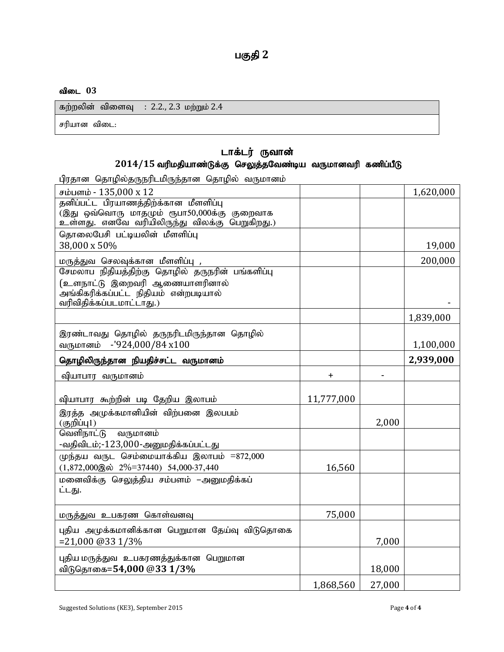#### விடை 03

| கற்றலின் விளைவு : 2.2., 2.3 மற்றும் 2.4 |  |
|-----------------------------------------|--|
| சரியான விடை:                            |  |

#### டாக்டர் ருவான்  $2014/15$  வரிமதியாண்டுக்கு செலுத்தவேண்டிய வருமானவரி கணிப்பீடு

பிரதான தொழில்தருநரிடமிருந்தான தொழில் வருமானம்

| சம்பளம் - 135,000 x 12                                                                        |            |        | 1,620,000 |
|-----------------------------------------------------------------------------------------------|------------|--------|-----------|
| தனிப்பட்ட பிரயாணத்திற்க்கான மீளளிப்பு                                                         |            |        |           |
| (இது ஒவ்வொரு மாதமும் ரூபா50,000க்கு குறைவாக<br>உள்ளது. எனவே வரியிலிருந்து விலக்கு பெறுகிறது.) |            |        |           |
| தொலைபேசி பட்டியலின் மீளளிப்பு                                                                 |            |        |           |
| 38,000 x 50%                                                                                  |            |        | 19,000    |
| மருத்துவ செலவுக்கான மீளளிப்பு ,                                                               |            |        | 200,000   |
| சேமலாப நிதியத்திற்கு தொழில் தருநரின் பங்களிப்பு                                               |            |        |           |
| (உளநாட்டு இறைவரி ஆணையாளரினால்                                                                 |            |        |           |
| அங்கிகரிக்கப்பட்ட நிதியம் என்றபடியால்<br>வரிவிதிக்கப்படமாட்டாது.)                             |            |        |           |
|                                                                                               |            |        | 1,839,000 |
|                                                                                               |            |        |           |
| இரண்டாவது தொழில் தருநரிடமிருந்தான தொழில்<br>வருமானம் -'924,000/84 x100                        |            |        | 1,100,000 |
|                                                                                               |            |        |           |
| தொழிலிருந்தான நியதிச்சட்ட வருமானம்                                                            |            |        | 2,939,000 |
| வியாபார வருமானம்                                                                              | $\pm$      |        |           |
|                                                                                               |            |        |           |
| வியாபார கூற்றின் படி தேறிய இலாபம்                                                             | 11,777,000 |        |           |
| இரத்த அமுக்கமானியின் விற்பனை இலபபம்<br>$($ குறிப்பு $1)$                                      |            | 2,000  |           |
| வெளிநாட்டு<br>வருமானம்                                                                        |            |        |           |
| -வதிவிடம்;-123,000-அனுமதிக்கப்பட்டது                                                          |            |        |           |
| முந்தய வருட செம்மையாக்கிய இலாபம் =872,000                                                     |            |        |           |
| $(1,872,000)$ @ $\dot{\text{o}}$ $2\% = 37440$ $54,000-37,440$                                | 16,560     |        |           |
| மனைவிக்கு செலுத்திய சம்பளம் –அனுமதிக்கப்<br>ட்டது.                                            |            |        |           |
|                                                                                               |            |        |           |
| மருத்துவ உபகரண கொள்வனவு                                                                       | 75,000     |        |           |
| புதிய அமுக்கமானிக்கான பெறுமான தேய்வு விடுதொகை                                                 |            |        |           |
| $= 21,000$ @33 1/3%                                                                           |            | 7,000  |           |
| புதிய மருத்துவ உபகரணத்துக்கான பெறுமான                                                         |            |        |           |
| விடுதொகை=54,000 @33 1/3%                                                                      |            | 18,000 |           |
|                                                                                               | 1,868,560  | 27,000 |           |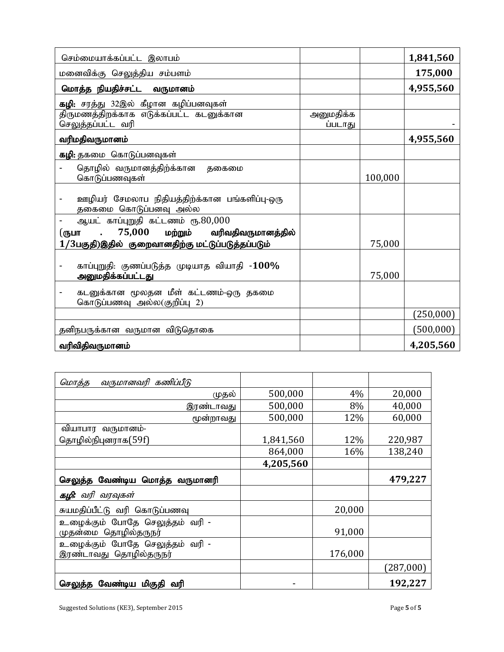| செம்மையாக்கப்பட்ட இலாபம்                                                                 |                      |         | 1,841,560  |
|------------------------------------------------------------------------------------------|----------------------|---------|------------|
| மனைவிக்கு செலுத்திய சம்பளம்                                                              |                      |         | 175,000    |
| மொத்த நியதிச்சட்ட வருமானம்                                                               |                      |         | 4,955,560  |
| கழி: சரத்து 32இல் கீழான கழிப்பனவுகள்                                                     |                      |         |            |
| திருமணத்திறக்காக எடுக்கப்பட்ட கடனுக்கான<br>செலுத்தப்பட்ட வரி                             | அனுமதிக்க<br>ப்படாது |         |            |
| வரிமதிவருமானம்                                                                           |                      |         | 4,955,560  |
| கழி: தகமை கொடுப்பனவுகள்                                                                  |                      |         |            |
| தொழில் வருமானத்திற்க்கான<br>தகைமை<br>கொடுப்பணவுகள்                                       |                      | 100,000 |            |
| ஊழியர் சேமலாப நிதியத்திற்க்கான பங்களிப்பு-ஒரு<br>தகைமை கொடுப்பனவு அல்ல                   |                      |         |            |
| ஆயட் காப்புறுதி கட்டணம் ரூ.80,000<br>$75,000$ மற்றும் வரிவதிவருமானத்தில்<br>$\mathbf{r}$ |                      |         |            |
| (ருபா<br>1/3பகுதி)இதில் குறைவானதிற்கு மட்டுப்படுத்தப்படும்                               |                      | 75,000  |            |
| காப்புறுதி: குணப்படுத்த முடியாத வியாதி -100%<br>அனுமதிக்கப்பட்டது                        |                      | 75,000  |            |
| கடனுக்கான மூலதன மீள் கட்டணம்-ஒரு தகமை<br>கொடுப்பணவு அல்ல(குறிப்பு 2)                     |                      |         |            |
|                                                                                          |                      |         | (250, 000) |
| தனிநபருக்கான வருமான விடுதொகை                                                             |                      |         | (500,000)  |
| வரிவிதிவருமானம்                                                                          |                      |         | 4,205,560  |

| வருமானவரி கணிப்பீடு<br><u>மொத்த</u>                      |           |         |           |
|----------------------------------------------------------|-----------|---------|-----------|
| முதல்                                                    | 500,000   | 4%      | 20,000    |
| இரண்டாவது                                                | 500,000   | 8%      | 40,000    |
| மூன்றாவது                                                | 500,000   | 12%     | 60,000    |
| வியாபார வருமானம்-                                        |           |         |           |
| தொழில்நிபுனராக(59f)                                      | 1,841,560 | 12%     | 220,987   |
|                                                          | 864,000   | 16%     | 138,240   |
|                                                          | 4,205,560 |         |           |
| செலுத்த வேண்டிய மொத்த வருமானரி                           |           |         | 479,227   |
| <b>கழி:</b> வரி வரவுகள்                                  |           |         |           |
| சுயமதிப்பீட்டு வரி கொடுப்பணவு                            |           | 20,000  |           |
| உழைக்கும் போதே செலுத்தம் வரி -<br>முதன்மை தொழில்தருநர்   |           | 91,000  |           |
| உழைக்கும் போதே செலுத்தம் வரி -<br>இரண்டாவது தொழில்தருநர் |           | 176,000 |           |
|                                                          |           |         | (287,000) |
| வேண்டிய மிகுதி வரி<br>செலுத்த                            |           |         | 192,227   |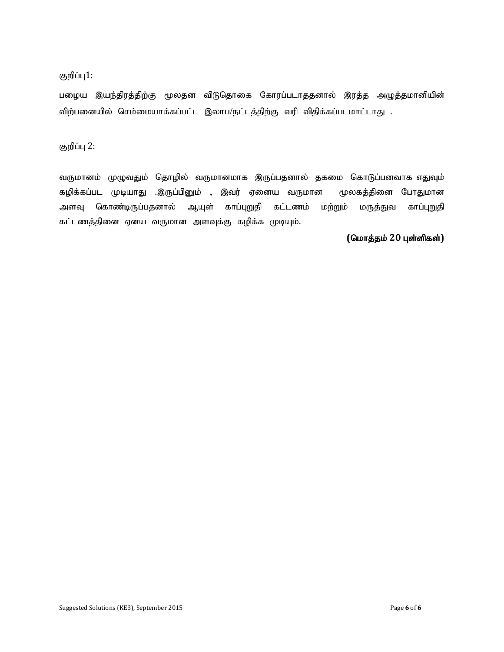#### குறிப்பு1:

பழைய இயந்திரத்திற்கு மூலதன விடுதொகை கோரப்படாததனால் இரத்த அழுத்தமானியின் விற்பனையில் செம்மையாக்கப்பட்ட இலாப/நட்டத்திற்கு வரி விதிக்கப்படமாட்டாது .

குறிப்பு 2:

வருமானம் முழுவதும் தொழில் வருமானமாக இருப்பதனால் தகமை கொடுப்பனவாக எதுவும் கழிக்கப்பட முடியாது .இருப்பினும் , இவர் ஏனைய வருமான மூலகத்தினை போதுமான அளவு கொண்டிருப்பதனால் ஆயுள் காப்புறுதி கட்டணம் மற்றும் மருத்துவ காப்புறுதி கட்டணத்தினை ஏனய வருமான அளவுக்கு கழிக்க முடியும்.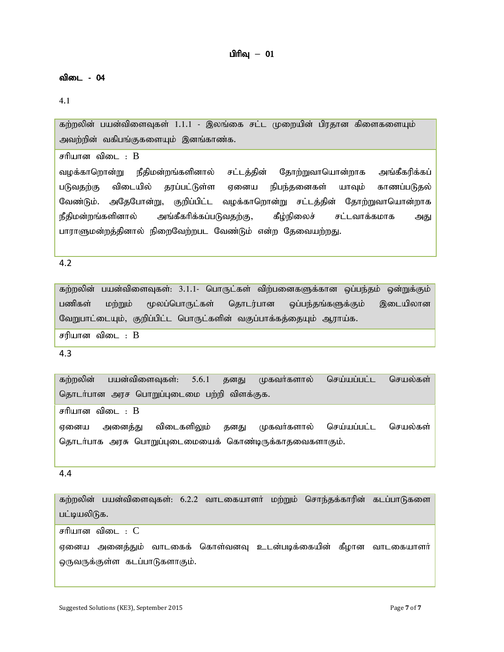#### விடை - 04

4.1

கற்றலின் பயன்விளைவுகள்  $1.1.1$  - இலங்கை சட்ட முறையின் பிரதான கிளைகளையும் அவற்றின் வகிபங்குகளையும் இனங்காண்க.

சரியான விடை :  $B$ 

வழக்காறொன்று நீதிமன்றங்களினால் சட்டத்தின் தோற்றுவாயொன்றாக அங்கீகரிக்கப் படுவகற்கு விடையில் கரப்பட்டுள்ள எனைய நிபந்கனைகள் யாவும் காணப்படுகல் வேண்டும். அதேபோன்று, குறிப்பிட்ட வழக்காறொன்று சட்டத்தின் தோற்றுவாயொன்றாக நீதிமன்றங்களினால் அங்கீகரிக்கப்படுவதற்கு, கீழ்நிலைச் சட்டவாக்கமாக அது பாராளுமன்றத்தினால் நிறைவேற்றபட வேண்டும் என்ற தேவையற்றது.

#### 4.2

கற்றலின் பயன்விளைவுகள்: 3.1.1- பொருட்கள் விற்பனைகளுக்கான ஒப்பந்தம் ஒன்றுக்கும் பணிகள் மற்றும் மூலப்பொருட்கள் தொடர்பான ஒப்பந்தங்களுக்கும் இடையிலான வேறுபாட்டையும், குறிப்பிட்ட பொருட்களின் வகுப்பாக்கத்தையும் ஆராய்க.

சரியான விடை $\,$ :  $\,$ B

#### 4.3

கற்றலின் பயன்விளைவுகள்: 5.6.1 தனது முகவர்களால் செய்யப்பட்ட செயல்கள் தொடர்பான அரச பொறுப்புடைமை பற்றி விளக்குக.

சரியான விடை :  $B$ 

ஏனைய அனைத்து விடைகளிலும் தனது முகவர்களால் செய்யப்பட்ட செயல்கள் தொடர்பாக அரசு பொறுப்புடைமையைக் கொண்டிருக்காதவைகளாகும்.

#### 4.4

கற்றலின் பயன்விளைவுகள்; 6.2.2 வாடகையாளர் மற்றும் சொந்தக்காரின் கடப்பாடுகளை பட்டியலிடுக. சரியான விடை $: C$ ஏனைய அனைத்தும் வாடகைக் கொள்வனவு உடன்படிக்கையின் கீழான வாடகையாளர் ஒருவருக்குள்ள கடப்பாடுகளாகும்.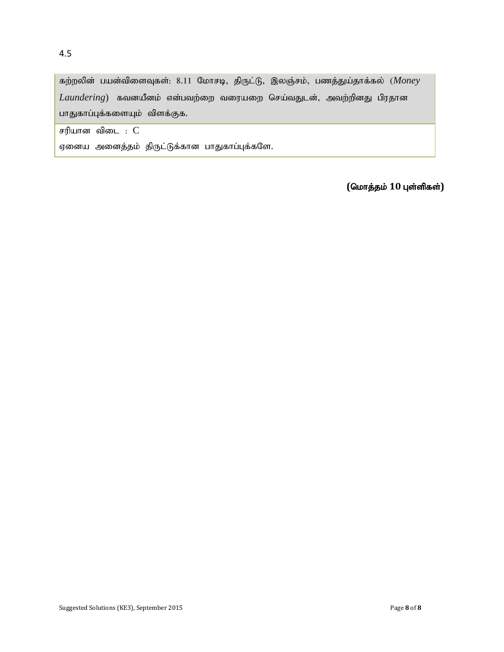கற்றலின் பயன்விளைவுகள்: 8.11 மோசடி, திருட்டு, இலஞ்சம், பணத்துய்தாக்கல் (Money  $Laundering$ ) கவனயீனம் என்பவற்றை வரையறை செய்வதுடன், அவற்றினது பிரதான பாதுகாப்புக்களையும் விளக்குக.

சரியான விடை $: C$ 

ஏனைய அனைத்தம் திருட்டுக்கான பாதுகாப்புக்களே.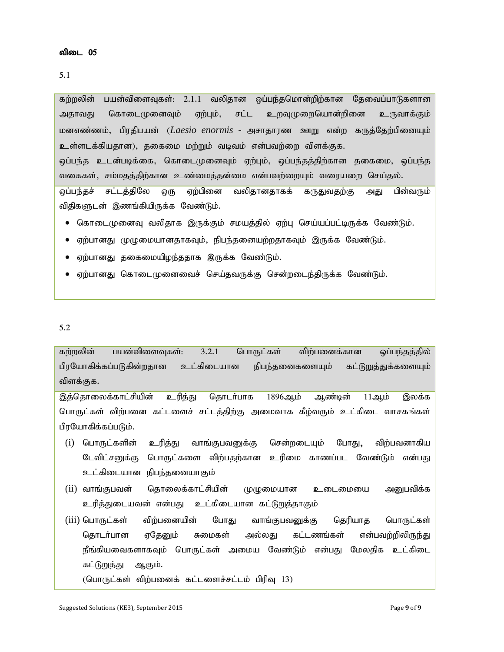கற்றலின் பயன்விளைவுகள்: 2.1.1 வலிதான ஒப்பந்தமொன்றிற்கான தேவைப்பாடுகளான அதாவது கொடைமுனைவும் ஏற்பும், சட்ட உறவுமுறையொன்றினை உருவாக்கும் மனஎண்ணம், பிரதிபயன் (*Laesio enormis -* அசாதாரண ஊறு என்ற கருத்தேற்பினையும் உள்ளடக்கியதான), தகைமை மற்றும் வடிவம் என்பவற்றை விளக்குக. ஒப்பந்த உடன்படிக்கை, கொடைமுனைவும் ஏற்பும், ஒப்பந்தத்திற்கான தகைமை, ஒப்பந்த வகைகள், சம்மதத்திற்கான உண்மைத்தன்மை என்பவற்றையும் வரையறை செய்தல். <u>ஓப்பந்தச் சட்டத்திலே ஒரு ஏற்பினை வலிதானதாகக் கருதுவதற்கு அது பின்வரும்</u> விதிகளுடன் இணங்கியிருக்க வேண்டும்.

- $\bullet$  கொடை(முனைவு வலிதாக இருக்கும் சமயத்தில் ஏற்பு செய்யப்பட்டிருக்க வேண்டும்.
- ஏற்பானது முழுமையானதாகவும், நிபந்தனையற்றதாகவும் இருக்க வேண்டும்.
- ஏற்பானது தகைமையிழந்ததாக இருக்க வேண்டும்.
- ஏற்பானது கொடைமுனைவைச் செய்தவருக்கு சென்றடைந்திருக்க வேண்டும்.

#### 5.2

கற்றலின் பயன்விளைவுகள்: 3.2.1 பொருட்கள் விற்பனைக்கான ஒப்பந்தத்தில் பிரயோகிக்கப்படுகின்றதான உட்கிடையான நிபந்தனைகளையும் கட்டுறுத்துக்களையும் விளக்குக.

இத்தொலைக்காட்சியின் உரித்து தொடர்பாக 1896ஆம் ஆண்டின் 11ஆம் இலக்க பொருட்கள் விற்பனை கட்டளைச் சட்டத்திற்கு அமைவாக கீழ்வரும் உட்கிடை வாசகங்கள் பிரயோகிக்கப்படும்.

- (i) பொருட்களின் உரித்து வாங்குபவனுக்கு சென்றடையும் போது, விற்பவனாகிய டேவிட்சனுக்கு பொருட்களை விற்பதற்கான உரிமை காணப்பட வேண்டும் என்பது உட்கிடையான நிபந்தனையாகும்
- (ii) வாங்குபவன் தொலைக்காட்சியின் முழுமையான உடைமையை அனுபவிக்க உரித்துடையவன் என்பது உட்கிடையான கட்டுறுத்தாகும்
- (iii) பொருட்கள் விற்பனையின் போது வாங்குபவனுக்கு தெரியாத பொருட்கள் தொடர்பான ஏதேனும் சுமைகள் அல்லது கட்டணங்கள் என்பவற்றிலிருந்து நீங்கியவைகளாகவும் பொருட்கள் அமைய வேண்டும் என்பது மேலதிக உட்கிடை கட்டுறுத்து ஆகும்.

 $($ பொருட்கள் விற்பனைக் கட்டளைச்சட்டம் பிரிவு 13)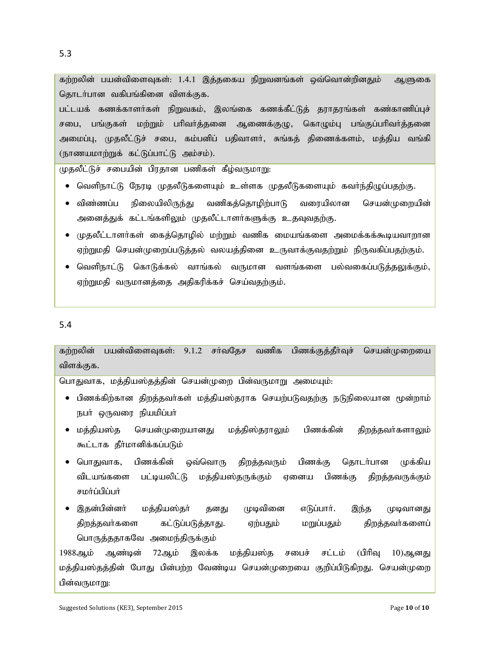5.3

<mark>கற்றலின் பயன்விளைவுகள்: 1.4.1 இத்தகைய நிறுவனங்கள்</mark> ஒவ்வொன்றினதும் ஆளுகை தொடர்பான வகிபங்கினை விளக்குக.

பட்டயக் கணக்காளர்கள் நிறுவகம், இலங்கை கணக்கீட்டுத் தராதரங்கள் கண்காணிப்புச் சபை, பங்குகள் மற்றும் பரிவர்த்தனை ஆணைக்குழு, கொழும்பு பங்குப்பரிவர்த்தனை அமைப்பு, முதலீட்டுச் சபை, கம்பனிப் பதிவாளர், சுங்கத் திணைக்களம், மத்திய வங்கி (நாணயமாற்றுக் கட்டுப்பாட்டு அம்சம்).

முதலீட்டுச் சபையின் பிரதான பணிகள் கீழ்வருமாறு:

- $\bullet$  வெளிநாட்டு நேரடி முதலீடுகளையும் உள்ளக முதலீடுகளையும் கவர்ந்திழுப்பதற்கு.
- விண்ணப்ப நிலையிலிருந்து வணிகத்தொழிற்பாடு வரையிலான செயன்முறையின் அனைத்துக் கட்டங்களிலும் முதலீட்டாளர்களுக்கு உதவுவதற்கு.
- $\bullet$  முதலீட்டாளா்கள் கைத்தொழில் மற்றும் வணிக மையங்களை அமைக்கக்கூடியவாறான ஏற்றுமதி செயன்முறைப்படுத்தல் வலயத்தினை உருவாக்குவதற்றும் நிருவகிப்பதற்கும்.
- வெளிநாட்டு கொடுக்கல் வாங்கல் வருமான வளங்களை பல்வகைப்படுத்தலுக்கும், ஏற்றுமதி வருமானத்தை அதிகரிக்கச் செய்வதற்கும்.

5.4

கற்றலின் பயன்விளைவுகள்: 9.1.2 சர்வதேச வணிக பிணக்குக்கீர்வச் செயன்முறையை விளக்குக.

பொதுவாக, மத்தியஸ்தத்தின் செயன்முறை பின்வருமாறு அமையும்:

- பிணக்கிற்கான திறத்தவர்கள் மத்தியஸ்தராக செயற்படுவதற்கு நடுநிலையான மூன்றாம் நபர் ஒருவரை நியமிப்பர்
- ் மத்தியஸ்த செயன்முறையானது மத்திஸ்தராலும் பிணக்கின் திறத்தவா்களாலும் கூட்டாக தீர்மானிக்கப்படும்
- பொதுவாக, பிணக்கின் ஒவ்வொரு திறத்தவரும் பிணக்கு தொடா்பான முக்கிய விடயங்களை பட்டியலிட்டு மத்தியஸ்தருக்கும் ஏனைய பிணக்கு திறத்தவருக்கும் சமர்ப்பிப்பர்
- இதன்பின்னா் மத்தியஸ்தா் தனது முடிவினை எடுப்பாா். இந்த முடிவானது திறத்தவர்களை கட்டுப்படுத்தாது. ஏற்பதும் மறுப்பதும் திறத்தவர்களைப் பொருத்ததாகவே அமைந்திருக்கும்

1988ஆம் ஆண்டின் 72ஆம் இலக்க மத்தியஸ்த சபைச் சட்டம் (பிரிவு 10)ஆனது மத்தியஸ்தத்தின் போது பின்பற்ற வேண்டிய செயன்முறையை குறிப்பிடுகிறது. செயன்முறை பின்வருமாறு: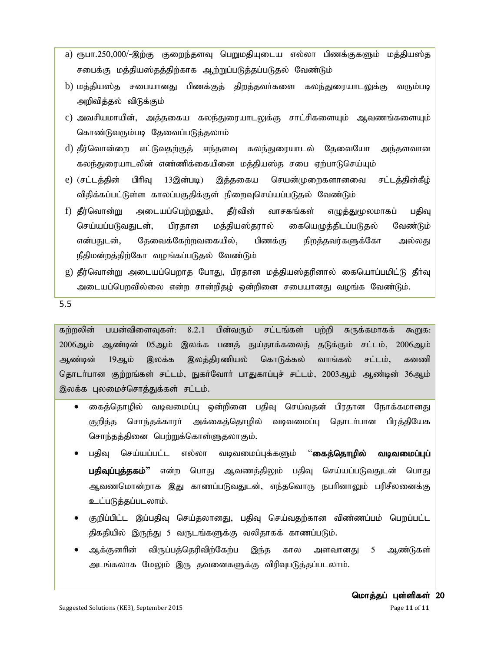- a) ரூபா.250,000/-இற்கு குறைந்தளவு பெறுமதியுடைய எல்லா பிணக்குகளும் மத்தியஸ்த சபைக்கு மத்தியஸ்தத்திற்காக ஆற்றுப்படுத்தப்படுதல் வேண்டும்
- b) மத்தியஸ்த சபையானது பிணக்குத் திறத்தவர்களை கலந்துரையாடலுக்கு வரும்படி அறிவித்தல் விடுக்கும்
- c) அவசியமாயின், அத்தகைய கலந்துரையாடலுக்கு சாட்சிகளையும் ஆவணங்களையும் கொண்டுவரும்படி தேவைப்படுத்தலாம்
- d) தீர்வொன்றை எட்டுவதற்குத் எந்தளவு கலந்துரையாடல் தேவையோ அந்தளவான கலந்துரையாடலின் எண்ணிக்கையினை மத்தியஸ்த சபை ஏற்பாடுசெய்யும்
- e) (சட்டத்தின் பிரிவு 13இன்படி) இத்தகைய செயன்முறைகளானவை சட்டத்தின்கீழ் விதிக்கப்பட்டுள்ள காலப்பகுதிக்குள் நிறைவுசெய்யப்படுதல் வேண்டும்
- f) தீர்வொன்று அடையப்பெற்றதும், தீர்வின் வாசகங்கள் எழுத்துமூலமாகப் பதிவு செய்யப்படுவதுடன், பிரதான மத்தியஸ்தரால் கையெழுத்திடப்படுதல் வேண்டும் என்பதுடன், தேவைக்கேற்றவகையில், பிணக்கு திறத்தவர்களுக்கோ அல்லது நீதிமன்றத்திற்கோ வழங்கப்படுதல் வேண்டும்
- g) தீர்வொன்று அடையப்பெறாத போது, பிரதான மத்தியஸ்தரினால் கையொப்பமிட்டு தீா்வு அடையப்பொவில்லை என்ற சான்றிகம் ஒன்றினை சபையானது வமங்க வேண்டும்.

5.5

கற்றலின் பயன்விளைவுகள்: 8.2.1 பின்வரும் சட்டங்கள் பற்றி சுருக்கமாகக் கூறுக: 2006ஆம் ஆண்டின் 05ஆம் இலக்க பணத் துய்தாக்கலைத் தடுக்கும் சட்டம், 2006ஆம் ஆண்டின் 19ஆம் இலக்க இலத்திரணியல் கொடுக்கல் வாங்கல் சட்டம், கனணி தொடா்பான குற்றங்கள் சட்டம், நுகா்வோா் பாதுகாப்புச் சட்டம், 2003ஆம் ஆண்டின் 36ஆம் இலக்க புலமைச்சொத்துக்கள் சட்டம்.

- கைத்தொழில் வடிவமைப்பு ஒன்றினை பதிவு செய்வதன் பிரதான நோக்கமானது குறித்த சொந்தக்காரா் அக்கைத்தொழில் வடிவமைப்பு தொடா்பான பிரத்தியேக சொந்தத்தினை பெற்றுக்கொள்ளுதலாகும்.
- பதிவு செய்யப்பட்ட எல்லா வடிவமைப்புக்களும் ''**கைத்தொழில் வடிவமைப்புப் பதிவுப்புத்தகம்''** என்ற பொது ஆவணத்திலும் பதிவு செய்யப்படுவதுடன் பொது ஆவணமொன்றாக இது காணப்படுவதுடன், எந்தவொரு நபரினாலும் பரிசீலனைக்கு உட்படுத்தப்படலாம்.
- குறிப்பிட்ட இப்பதிவு செய்தலானது, பதிவு செய்வதற்கான விண்ணப்பம் பெறப்பட்ட திகதியில் இருந்து 5 வருடங்களுக்கு வலிதாகக் காணப்படும்.
- ஆக்குனரின் விருப்பத்தெரிவிற்கேற்ப இந்த கால அளவானது 5 ஆண்டுகள் அடங்கலாக மேலும் இரு தவனைகளுக்கு விரிவுபடுத்தப்படலாம்.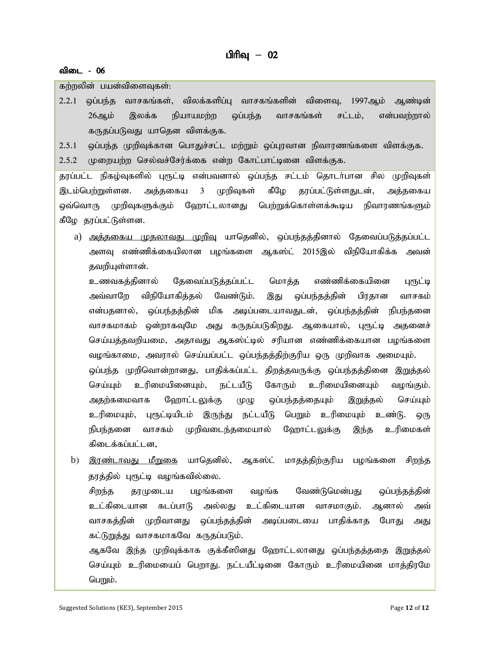#### விடை - 06

கற்றலின் பயன்விளைவுகள்:

 $2.2.1$  ஒப்பந்த வாசகங்கள், விலக்களிப்பு வாசகங்களின் விளைவு, 1997ஆம் ஆண்டின் 26ஆம் இலக்க நியாயமற்ற ஒப்பந்த வாசகங்கள் சட்டம், என்பவற்றால் கருதப்படுவது யாதென விளக்குக.

2.5.1 லப்பந்த முறிவுக்கான பொதுச்சட்ட மற்றும் லப்புரவான நிவாரணங்களை விளக்குக.

 $2.5.2$  முறையற்ற செல்வச்சேர்க்கை என்ற கோட்பாட்டினை விளக்குக.

தரப்பட்ட நிகழ்வுகளில் புரூட்டி என்பவனால் ஒப்பந்த சட்டம் தொடா்பான சில முறிவுகள் இடம்பெற்றுள்ளன. அத்தகைய 3 முறிவுகள் கீழே தரப்பட்டுள்ளதுடன், அத்தகைய ஒவ்வொரு முறிவுகளுக்கும் ஹோட்டலானது பெற்றுக்கொள்ளக்கூடிய நிவாரணங்களும் கீழே தரப்பட்டுள்ளன.

a) <u>அத்தகைய முதலாவது முறிவ</u>ு யாதெனில், ஒப்பந்தத்தினால் தேவைப்படுத்தப்பட்ட அளவு எண்ணிக்கையிலான பழங்களை ஆகஸ்ட் 2015இல் விநியோகிக்க அவன் தவறியுள்ளான்.

உணவகத்தினால் தேவைப்படுத்தப்பட்ட மொத்த எண்ணிக்கையினை புரூட்டி அவ்வாறே விநியோகித்தல் வேண்டும். இது ஒப்பந்தத்தின் பிரதான வாசகம் என்பதனால், ஒப்பந்தத்தின் மிக அடிப்படையாவதுடன், ஒப்பந்தத்தின் நிபந்தனை வாசகமாகம் ஒன்றாகவுமே அது கருதப்படுகிறது. ஆகையால், புரூட்டி அதனைச் செய்யத்தவறியமை, அதாவது ஆகஸ்ட்டில் சரியான எண்ணிக்கையான பழங்களை வழங்காமை, அவரால் செய்யப்பட்ட ஒப்பந்தத்திற்குரிய ஒரு முறிவாக அமையும். ஒப்பந்த முறிவொன்றானது, பாதிக்கப்பட்ட திறத்தவருக்கு ஒப்பந்தத்தினை இறுத்தல் செய்யும் உரிமையினையும், நட்டயீடு கோரும் உரிமையினையும் வழங்கும். அதற்கமைவாக ஹோட்டலுக்கு முழு ஒப்பந்தத்தையும் இறுத்தல் செய்யும் உரிமையும், புரூட்டியிடம் இருந்து நட்டயீடு பெறும் உரிமையும் உண்டு. ஒரு நிபந்தனை வாசகம் முறிவடைந்தமையால் ஹோட்டலுக்கு இந்த உரிமைகள் கிடைக்கப்பட்டன.

b) <u>இரண்டாவது மீறுகை</u> யாதெனில், ஆகஸ்ட் மாதத்திற்குரிய பழங்களை சிறந்த தரத்தில் புரூட்டி வழங்கவில்லை. சிறந்த தரமுடைய பழங்களை வழங்க வேண்டுமென்பது ஒப்பந்தத்தின் உட்கிடையான கடப்பாடு அல்லது உட்கிடையான வாசமாகும். ஆனால் அவ் வாசகத்தின் முறிவானது ஒப்பந்தத்தின் அடிப்படையை பாதிக்காத போது அது கட்டுறுத்து வாசகமாகவே கருதப்படும். ஆகவே இந்த முறிவுக்காக குக்கீஸினது ஹோட்டலானது ஒப்பந்தத்ததை இறுத்தல் செய்யும் உரிமையைப் பெறாது. நட்டயீட்டினை கோரும் உரிமையினை மாத்திரமே பெறும்.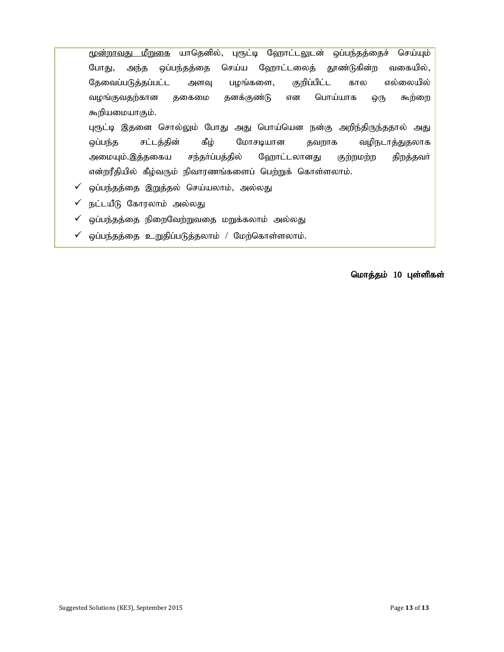மூ<u>ன்றாவது மீறுகை</u> யாதெனில், புரூட்டி ஹோட்டலுடன் ஒப்பந்தத்தைச் செய்யும் போது, அந்த ஒப்பந்தத்தை செய்ய ஹோட்டலைத் தூண்டுகின்ற வகையில், தேவைப்படுத்தப்பட்ட அளவு பழங்களை, குறிப்பிட்ட கால எல்லையில் வழங்குவதற்கான தகைமை தனக்குண்டு என பொய்யாக ஒரு கூற்றை கூறியமையாகும். புரூட்டி இதனை சொல்லும் போது அது பொய்யென நன்கு அறிந்திருந்ததால் அது ஒப்பந்த சட்டத்தின் கீழ் மோசடியான தவறாக வழிநடாத்துதலாக அமையும்.இத்தகைய சந்தா்ப்பத்தில் ஹோட்டலானது குற்றமற்ற திறத்தவா் என்றரீதியில் கீழ்வரும் நிவாரணங்களைப் பெற்றுக் கொள்ளலாம்.

- $\checkmark$  ஒப்பந்தத்தை இறுத்தல் செய்யலாம், அல்லது
- $\checkmark$  நட்டயீடு கோரலாம் அல்லது
- $\checkmark$  ஒப்பந்தத்தை நிறைவேற்றுவதை மறுக்கலாம் அல்லது
- $\checkmark$  ஒப்பந்தத்தை உறுதிப்படுத்தலாம் / மேற்கொள்ளலாம்.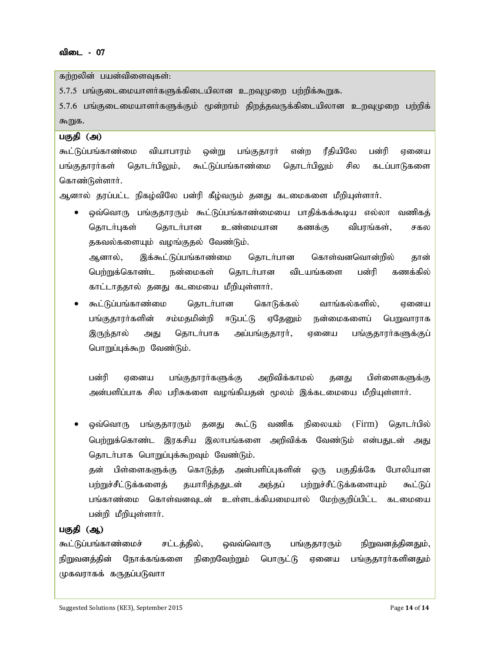கற்றலின் பயன்விளைவுகள்:

 $5.7.5$  பங்குடைமையாளர்களுக்கிடையிலான உறவுமுறை பற்றிக்கூறுக.

5.7.6 பங்குடைமையாளர்களுக்கும் மூன்றாம் திறத்தவருக்கிடையிலான உறவுமுறை பற்றிக் கூறுக.

#### பகுதி (அ)

கூட்டுப்பங்காண்மை வியாபாரம் ஒன்று பங்குகாரர் என்ற ரீகியிலே பன்ரி ஏனைய பங்குதாரர்கள் தொடர்பிலும், கூட்டுப்பங்காண்மை தொடர்பிலும் சில கடப்பாடுகளை கொண்டுள்ளார்.

ஆனால் தூப்பட்ட நிகழ்விலே பன்ரி கீழ்வரும் தனது கடமைகளை மீறியுள்ளார்.

ஒவ்வொரு பங்குதாரரும் கூட்டுப்பங்காண்மையை பாதிக்கக்கூடிய எல்லா வணிகத் தொடர்புகள் தொடர்பான உண்மையான கணக்கு விபரங்கள், சகல தகவல்களையும் வழங்குதல் வேண்டும். ஆனால், இக்கூட்டுப்பங்காண்மை தொடர்பான கொள்வனவொன்றில் தான் பெற்றுக்கொண்ட நன்மைகள் தொடர்பான விடயங்களை பன்ரி கணக்கில்

காட்டாததால் தனது கடமையை மீறியுள்ளார்.

கூட்டுப்பங்காண்மை தொடர்பான கொடுக்கல் வாங்கல்களில், ஏனைய பங்குதாரா்களின் சம்மதமின்றி ஈடுபட்டு ஏதேனும் நன்மைகளைப் பெறுவாராக இருந்தால் அது தொடா்பாக அப்பங்குதாரா், ஏனைய பங்குதாரா்களுக்குப் பொறுப்புக்கூற வேண்டும்.

பன்ரி ஏனைய பங்குதாரா்களுக்கு அறிவிக்காமல் தனது பிள்ளைகளுக்கு அன்பளிப்பாக சில பரிசுகளை வழங்கியதன் மூலம் இக்கடமையை மீறியுள்ளாா்.

ஒவ்வொரு பங்குதாரரும் தனது கூட்டு வணிக நிலையம் (Firm) தொடர்பில் பெற்றுக்கொண்ட இரகசிய இலாபங்களை அறிவிக்க வேண்டும் என்பதுடன் அது தொடா்பாக பொறுப்புக்கூறவும் வேண்டும்.

தன் பிள்ளைகளுக்கு கொடுத்த அன்பளிப்புகளின் ஒரு பகுதிக்கே போலியான பற்றுச்சீட்டுக்களைத் தயாரித்ததுடன் அந்தப் பற்றுச்சீட்டுக்களையும் கூட்டுப் பங்காண்மை கொள்வனவுடன் உள்ளடக்கியமையால் மேற்குறிப்பிட்ட கடமையை பன்றி மீறியுள்ளார்.

#### பகுதி (ஆ)

கூட்டுப்பங்காண்மைச் சட்டத்தில், ஒவவ்வொரு பங்குதாரரும் நிறுவனத்தினதும், நிறுவனத்தின் நோக்கங்களை நிறைவேற்றும் பொருட்டு ஏனைய பங்குதாரா்களினதும் முகவராகக் கருதப்படுவாா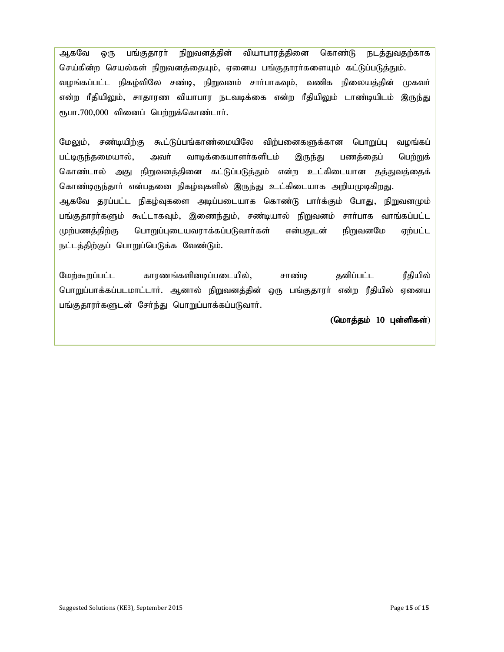ஆகவே ஒரு பங்குதாரா் நிறுவனத்தின் வியாபாரத்தினை கொண்டு நடத்துவதற்காக செய்கின்ற செயல்கள் நிறுவனத்தையும், ஏனைய பங்குதாரர்களையும் கட்டுப்படுத்தும். வழங்கப்பட்ட நிகழ்விலே சண்டி, நிறுவனம் சாா்பாகவும், வணிக நிலையத்தின் முகவா் என்ற ரீதியிலும், சாதாரண வியாபார நடவடிக்கை என்ற ரீதியிலும் டாண்டியிடம் இருந்து ரூபா.700,000 வினைப் பெற்றுக்கொண்டார்.

மேலும், சண்டியிற்கு கூட்டுப்பங்காண்மையிலே விற்பனைகளுக்கான பொறுப்பு வழங்கப் பட்டிருந்தமையால், அவா் வாடிக்கையாளா்களிடம் இருந்து பணத்தைப் பெற்றுக் கொண்டால் அது நிறுவனத்தினை கட்டுப்படுத்தும் என்ற உட்கிடையான தத்துவத்தைக் கொண்டிருந்தார் என்பதனை நிகழ்வுகளில் இருந்து உட்கிடையாக அறியமுடிகிறது. ஆகவே தரப்பட்ட நிகழ்வுகளை அடிப்படையாக கொண்டு பாா்க்கும் போது, நிறுவனமும் பங்குதாரா்களும் கூட்டாகவும், இணைந்தும், சண்டியால் நிறுவனம் சாா்பாக வாங்கப்பட்ட முற்பணத்திற்கு பொறுப்புடையவராக்கப்படுவார்கள் என்பதுடன் நிறுவனமே ஏற்பட்ட நட்டத்திற்குப் பொறுப்பெடுக்க வேண்டும்.

மேற்கூறப்பட்ட காரணங்களினடிப்படையில், சாண்டி தனிப்பட்ட ரீதியில் பொறுப்பாக்கப்படமாட்டார். ஆனால் நிறுவனத்தின் ஒரு பங்குதாரர் என்ற ரீதியில் ஏனைய பங்குதாரர்களுடன் சேர்ந்து பொறுப்பாக்கப்படுவார்.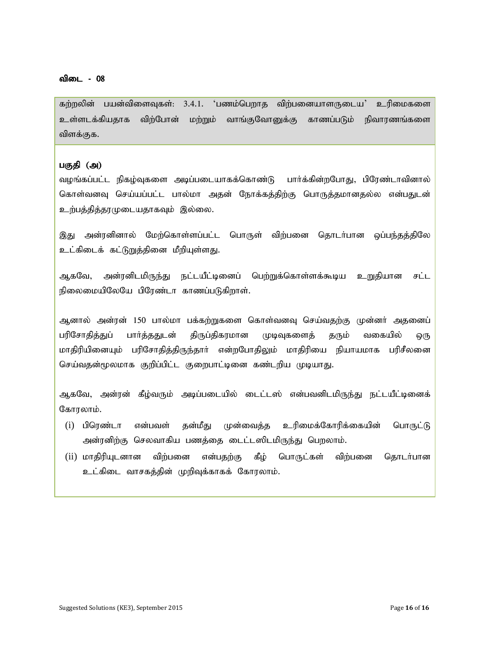கற்றலின் பயன்விளைவுகள்: 3.4.1. 'பணம்பெறாத விற்பனையாளருடைய' உரிமைகளை உள்ளடக்கியதாக விற்போன் மற்றும் வாங்குவோனுக்கு காணப்படும் நிவாரணங்களை விளக்குக.

#### பகுதி (அ)

வழங்கப்பட்ட நிகழ்வுகளை அடிப்படையாகக்கொண்டு பார்க்கின்றபோது, பிரேண்டாவினால் கொள்வனவு செய்யப்பட்ட பால்மா அதன் நோக்கத்திற்கு பொருத்தமானதல்ல என்பதுடன் உற்பத்தித்தரமுடையதாகவும் இல்லை.

இது அன்ரனினால் மேற்கொள்ளப்பட்ட பொருள் விற்பனை தொடர்பான ஒப்பந்தத்திலே உட்கிடைக் கட்டுறுத்தினை மீறியுள்ளது.

ஆகவே, அன்ரனிடமிருந்து நட்டயீட்டினைப் பெற்றுக்கொள்ளக்கூடிய உறுதியான சட்ட நிலைமையிலேயே பிரேண்டா காணப்படுகிறாள்.

ஆனால் அன்ரன் 150 பால்மா பக்கற்றுகளை கொள்வனவு செய்வதற்கு முன்னர் அதனைப் பரிசோதித்துப் பார்த்ததுடன் திருப்திகரமான முடிவுகளைத் தரும் வகையில் ஒரு மாகிரியினையும் பரிசோகிக்கிருந்தார் என்றபோகிலும் மாகிரியை நியாயமாக பரிசீலனை செய்வதன்மூலமாக குறிப்பிட்ட குறைபாட்டினை கண்டறிய முடியாது.

ஆகவே, அன்ரன் கீழ்வரும் அடிப்படையில் டைட்டஸ் என்பவனிடமிருந்து நட்டயீட்டினைக் கோாலாம்.

- (i) பிரெண்டா என்பவள் தன்மீது முன்வைத்த உரிமைக்கோரிக்கையின் பொருட்டு அன்ரனிற்கு செலவாகிய பணத்தை டைட்டஸிடமிருந்து பெறலாம்.
- (ii) மாதிரியுடனான விற்பனை என்பதற்கு கீழ் பொருட்கள் விற்பனை தொடர்பான உட்கிடை வாசகத்தின் முறிவுக்காகக் கோரலாம்.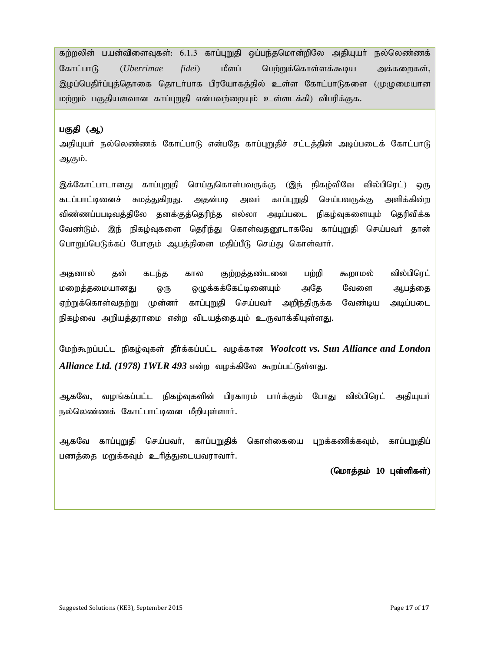கற்றலின் பயன்விளைவுகள்: 6.1.3 காப்புறுதி ஒப்பந்தமொன்றிலே அதியுயா் நல்லெண்ணக் கோட்பாடு (*Uberrimae fidei*) மீளப் பெற்றுக்கொள்ளக்கூடிய அக்கறைகள், இழப்பெதிர்ப்புத்தொகை தொடர்பாக பிரயோகத்தில் உள்ள கோட்பாடுகளை (முமுமையான மற்றும் பகுதியளவான காப்புறுதி என்பவற்றையும் உள்ளடக்கி) விபரிக்குக.

#### பகுதி (ஆ)

அதியுயா் நல்லெண்ணக் கோட்பாடு என்பதே காப்புறுதிச் சட்டத்தின் அடிப்படைக் கோட்பாடு ஆகும்.

இக்கோட்பாடானது காப்புறுதி செய்துகொள்பவருக்கு (இந் நிகழ்விவே வில்பிரெட்) ஒரு கடப்பாட்டினைச் சுமத்துகிறது. அதன்படி அவா் காப்புறுதி செய்பவருக்கு அளிக்கின்ற விண்ணப்பபடிவத்திலே தனக்குத்தெரிந்த எல்லா அடிப்படை நிகழ்வுகளையும் தெரிவிக்க வேண்டும். இந் நிகழ்வுகளை தெரிந்து கொள்வதனூடாகவே காப்புறுதி செய்பவா் தான் பொறுப்பெடுக்கப் போகும் ஆபத்தினை மதிப்பீடு செய்து கொள்வாா்.

அதனால் தன் கடந்த கால குற்றத்தண்டனை பற்றி கூறாமல் வில்பிரெட் மறைத்தமையானது ஒரு ஒழுக்கக்கேட்டினையும் அதே வேளை ஆபத்தை ஏற்றுக்கொள்வதற்று முன்னா் காப்புறுதி செய்பவா் அறிந்திருக்க வேண்டிய அடிப்படை நிகழ்வை அறியத்தராமை என்ற விடயத்தையும் உருவாக்கியுள்ளது.

Nkw;\$wg;gl;l epfo;Tfs; jPh;f;fg;gl;l tof;fhd *Woolcott vs. Sun Alliance and London Alliance Ltd. (1978) 1WLR 493* என்ற வழக்கிலே கூறப்பட்டுள்ளது.

ஆகவே, வழங்கப்பட்ட நிகழ்வுகளின் பிரகாரம் பாா்க்கும் போது வில்பிரெட் அதியுயா் நல்லெண்ணக் கோட்பாட்டினை மீறியுள்ளார்.

ஆகவே காப்புறுதி செய்பவா், காப்பறுதிக் கொள்கையை புறக்கணிக்கவும், காப்பறுதிப் பணத்தை மறுக்கவும் உரித்துடையவராவார்.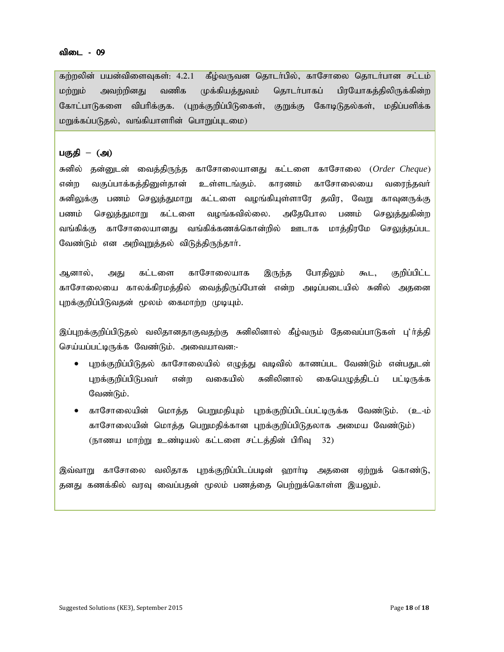#### விடை - 09

கற்றலின் பயன்விளைவுகள்: 4.2.1 கீழ்வருவன தொடர்பில், காசோலை தொடர்பான சட்டம் மற்றும் அவற்றினது வணிக முக்கியத்துவம் தொடர்பாகப் பிரயோகத்திலிருக்கின்ற கோட்பாடுகளை விபரிக்குக. (புறக்குறிப்பிடுகைள், குறுக்கு கோடிடுதல்கள், மதிப்பளிக்க மறுக்கப்படுதல், வங்கியாளரின் பொறுப்புடமை)

#### பகுதி – (அ)

சுனில் தன்னுடன் வைத்திருந்த காசோலையானது கட்டளை காசோலை (*Order Cheque*) என்ற வகுப்பாக்கத்தினுள்தான் உள்ளடங்கும். காரணம் காசோலையை வரைந்தவர் சுனிலுக்கு பணம் செலுத்துமாறு கட்டளை வழங்கியுள்ளாரே தவிர, வேறு காவுனருக்கு பணம் செலுத்துமாறு கட்டளை வழங்கவில்லை. அதேபோல பணம் செலுத்துகின்ற வங்கிக்கு காசோலையானது வங்கிக்கணக்கொன்றில் ஊடாக மாத்திரமே ச<u>ெலுத்த</u>ப்பட வேண்டும் என அறிவுறுத்தல் விடுத்திருந்தாா்.

ஆனால், அது கட்டளை காசோலையாக இருந்த போதிலும் கூட, குறிப்பிட்ட காசோலையை காலக்கிரமத்தில் வைத்திருப்போன் என்ற அடிப்படையில் சுனில் அதனை புறக்குறிப்பிடுவதன் மூலம் கைமாற்ற முடியும்.

இப்புறக்குறிப்பிடுதல் வலிதானதாகுவதற்கு சுனிலினால் கீழ்வரும் தேவைப்பாடுகள் பு'ா்த்தி செய்யப்பட்டிருக்க வேண்டும். அவையாவன:-

- புறக்குறிப்பிடுதல் காசோலையில் எழுத்து வடிவில் காணப்பட வேண்டும் என்பதுடன் புறக்குறிப்பிடுபவர் என்ற வகையில் சுனிலினால் கையெழுத்திடப் பட்டிருக்க வேண்டும்.
- காசோலையின் மொத்த பெறுமதியும் புறக்குறிப்பிடப்பட்டிருக்க வேண்டும். (உ-ம் காசோலையின் மொத்த பெறுமதிக்கான புறக்குறிப்பிடுதலாக அமைய வேண்டும்) (நாணய மாற்று உண்டியல் கட்டளை சட்டத்தின் பிரிவு 32)

இவ்வாறு காசோலை வலிதாக புறக்குறிப்பிடப்படின் ஹாா்டி அதனை ஏற்றுக் கொண்டு, தனது கணக்கில் வரவு வைப்பதன் மூலம் பணத்தை பெற்றுக்கொள்ள இயலும்.